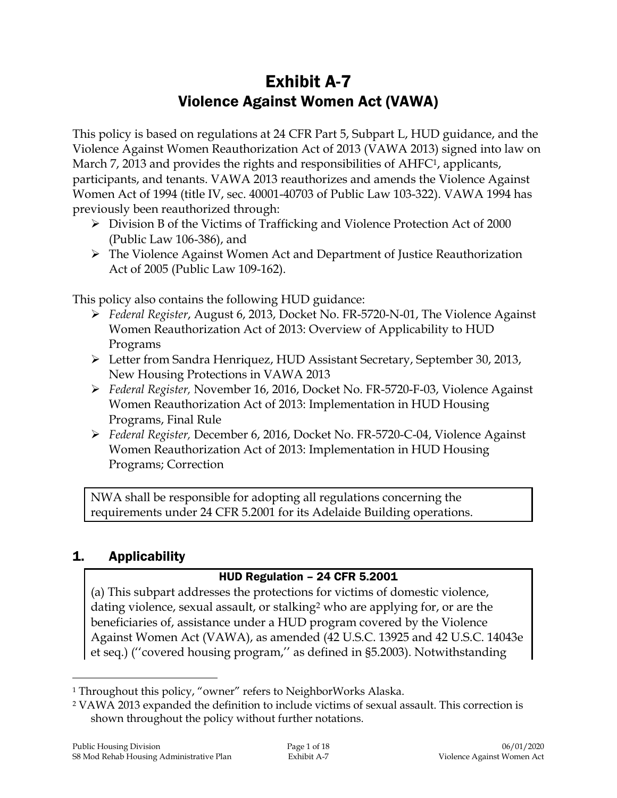# Exhibit A-7 Violence Against Women Act (VAWA)

This policy is based on regulations at 24 CFR Part 5, Subpart L, HUD guidance, and the Violence Against Women Reauthorization Act of 2013 (VAWA 2013) signed into law on March 7, 2013 and provides the rights and responsibilities of AHFC<sup>1</sup>, applicants, participants, and tenants. VAWA 2013 reauthorizes and amends the Violence Against Women Act of 1994 (title IV, sec. 40001-40703 of Public Law 103-322). VAWA 1994 has previously been reauthorized through:

- Division B of the Victims of Trafficking and Violence Protection Act of 2000 (Public Law 106-386), and
- The Violence Against Women Act and Department of Justice Reauthorization Act of 2005 (Public Law 109-162).

This policy also contains the following HUD guidance:

- *Federal Register*, August 6, 2013, Docket No. FR-5720-N-01, The Violence Against Women Reauthorization Act of 2013: Overview of Applicability to HUD Programs
- Letter from Sandra Henriquez, HUD Assistant Secretary, September 30, 2013, New Housing Protections in VAWA 2013
- *Federal Register,* November 16, 2016, Docket No. FR-5720-F-03, Violence Against Women Reauthorization Act of 2013: Implementation in HUD Housing Programs, Final Rule
- *Federal Register,* December 6, 2016, Docket No. FR-5720-C-04, Violence Against Women Reauthorization Act of 2013: Implementation in HUD Housing Programs; Correction

NWA shall be responsible for adopting all regulations concerning the requirements under 24 CFR 5.2001 for its Adelaide Building operations.

# 1. Applicability

 $\overline{a}$ 

# HUD Regulation – 24 CFR 5.2001

(a) This subpart addresses the protections for victims of domestic violence, dating violence, sexual assault, or stalking<sup>2</sup> who are applying for, or are the beneficiaries of, assistance under a HUD program covered by the Violence Against Women Act (VAWA), as amended (42 U.S.C. 13925 and 42 U.S.C. 14043e et seq.) (''covered housing program,'' as defined in §5.2003). Notwithstanding

<sup>&</sup>lt;sup>1</sup> Throughout this policy, "owner" refers to NeighborWorks Alaska.

<sup>2</sup> VAWA 2013 expanded the definition to include victims of sexual assault. This correction is shown throughout the policy without further notations.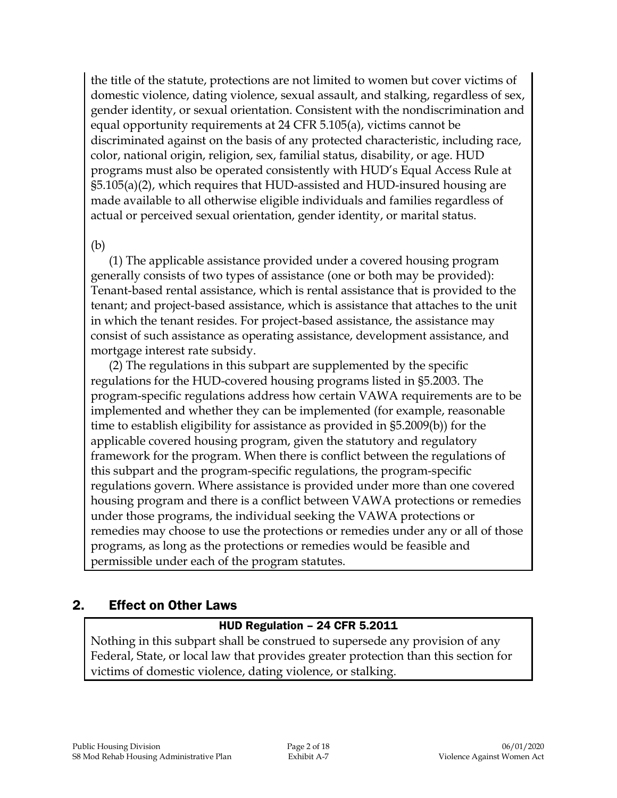the title of the statute, protections are not limited to women but cover victims of domestic violence, dating violence, sexual assault, and stalking, regardless of sex, gender identity, or sexual orientation. Consistent with the nondiscrimination and equal opportunity requirements at 24 CFR 5.105(a), victims cannot be discriminated against on the basis of any protected characteristic, including race, color, national origin, religion, sex, familial status, disability, or age. HUD programs must also be operated consistently with HUD's Equal Access Rule at §5.105(a)(2), which requires that HUD-assisted and HUD-insured housing are made available to all otherwise eligible individuals and families regardless of actual or perceived sexual orientation, gender identity, or marital status.

#### (b)

(1) The applicable assistance provided under a covered housing program generally consists of two types of assistance (one or both may be provided): Tenant-based rental assistance, which is rental assistance that is provided to the tenant; and project-based assistance, which is assistance that attaches to the unit in which the tenant resides. For project-based assistance, the assistance may consist of such assistance as operating assistance, development assistance, and mortgage interest rate subsidy.

(2) The regulations in this subpart are supplemented by the specific regulations for the HUD-covered housing programs listed in §5.2003. The program-specific regulations address how certain VAWA requirements are to be implemented and whether they can be implemented (for example, reasonable time to establish eligibility for assistance as provided in §5.2009(b)) for the applicable covered housing program, given the statutory and regulatory framework for the program. When there is conflict between the regulations of this subpart and the program-specific regulations, the program-specific regulations govern. Where assistance is provided under more than one covered housing program and there is a conflict between VAWA protections or remedies under those programs, the individual seeking the VAWA protections or remedies may choose to use the protections or remedies under any or all of those programs, as long as the protections or remedies would be feasible and permissible under each of the program statutes.

## 2. Effect on Other Laws

## HUD Regulation – 24 CFR 5.2011

Nothing in this subpart shall be construed to supersede any provision of any Federal, State, or local law that provides greater protection than this section for victims of domestic violence, dating violence, or stalking.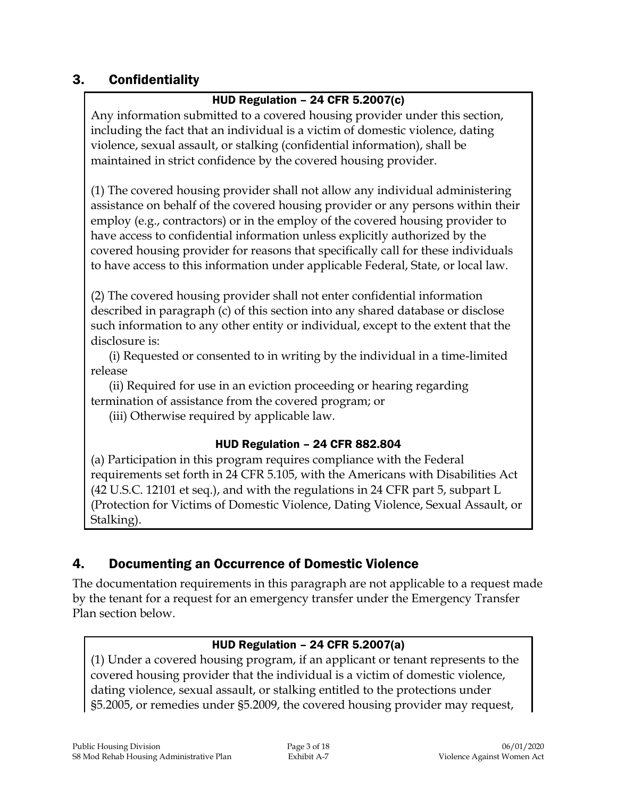# 3. Confidentiality

# HUD Regulation – 24 CFR 5.2007(c)

Any information submitted to a covered housing provider under this section, including the fact that an individual is a victim of domestic violence, dating violence, sexual assault, or stalking (confidential information), shall be maintained in strict confidence by the covered housing provider.

(1) The covered housing provider shall not allow any individual administering assistance on behalf of the covered housing provider or any persons within their employ (e.g., contractors) or in the employ of the covered housing provider to have access to confidential information unless explicitly authorized by the covered housing provider for reasons that specifically call for these individuals to have access to this information under applicable Federal, State, or local law.

(2) The covered housing provider shall not enter confidential information described in paragraph (c) of this section into any shared database or disclose such information to any other entity or individual, except to the extent that the disclosure is:

(i) Requested or consented to in writing by the individual in a time-limited release

(ii) Required for use in an eviction proceeding or hearing regarding termination of assistance from the covered program; or

(iii) Otherwise required by applicable law.

## HUD Regulation – 24 CFR 882.804

(a) Participation in this program requires compliance with the Federal requirements set forth in 24 CFR 5.105, with the Americans with Disabilities Act (42 U.S.C. 12101 et seq.), and with the regulations in 24 CFR part 5, subpart L (Protection for Victims of Domestic Violence, Dating Violence, Sexual Assault, or Stalking).

# 4. Documenting an Occurrence of Domestic Violence

The documentation requirements in this paragraph are not applicable to a request made by the tenant for a request for an emergency transfer under the Emergency Transfer Plan section below.

## HUD Regulation – 24 CFR 5.2007(a)

(1) Under a covered housing program, if an applicant or tenant represents to the covered housing provider that the individual is a victim of domestic violence, dating violence, sexual assault, or stalking entitled to the protections under §5.2005, or remedies under §5.2009, the covered housing provider may request,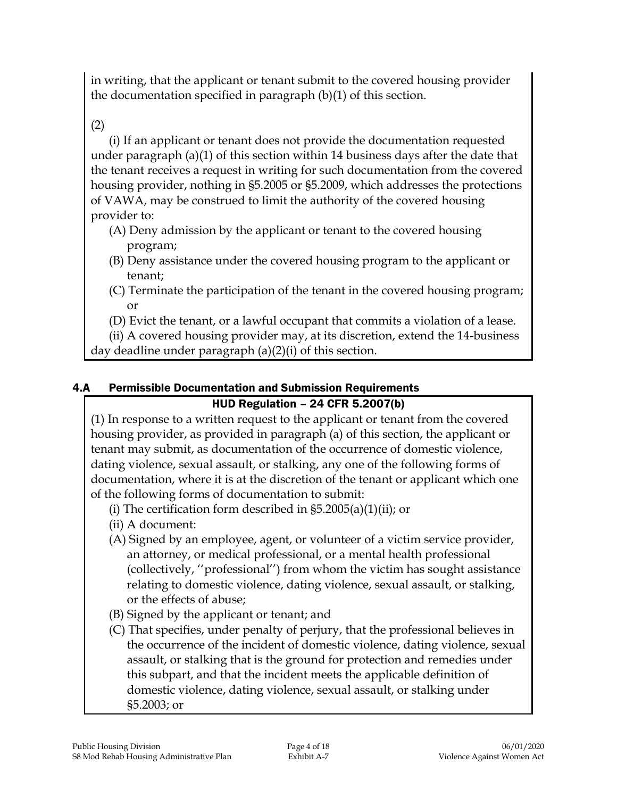in writing, that the applicant or tenant submit to the covered housing provider the documentation specified in paragraph (b)(1) of this section.

(2)

(i) If an applicant or tenant does not provide the documentation requested under paragraph (a)(1) of this section within 14 business days after the date that the tenant receives a request in writing for such documentation from the covered housing provider, nothing in §5.2005 or §5.2009, which addresses the protections of VAWA, may be construed to limit the authority of the covered housing provider to:

- (A) Deny admission by the applicant or tenant to the covered housing program;
- (B) Deny assistance under the covered housing program to the applicant or tenant;
- (C) Terminate the participation of the tenant in the covered housing program; or
- (D) Evict the tenant, or a lawful occupant that commits a violation of a lease.

(ii) A covered housing provider may, at its discretion, extend the 14-business day deadline under paragraph (a)(2)(i) of this section.

# 4.A Permissible Documentation and Submission Requirements

# HUD Regulation – 24 CFR 5.2007(b)

(1) In response to a written request to the applicant or tenant from the covered housing provider, as provided in paragraph (a) of this section, the applicant or tenant may submit, as documentation of the occurrence of domestic violence, dating violence, sexual assault, or stalking, any one of the following forms of documentation, where it is at the discretion of the tenant or applicant which one of the following forms of documentation to submit:

- (i) The certification form described in  $\S5.2005(a)(1)(ii)$ ; or
- (ii) A document:
- (A) Signed by an employee, agent, or volunteer of a victim service provider, an attorney, or medical professional, or a mental health professional (collectively, ''professional'') from whom the victim has sought assistance relating to domestic violence, dating violence, sexual assault, or stalking, or the effects of abuse;
- (B) Signed by the applicant or tenant; and
- (C) That specifies, under penalty of perjury, that the professional believes in the occurrence of the incident of domestic violence, dating violence, sexual assault, or stalking that is the ground for protection and remedies under this subpart, and that the incident meets the applicable definition of domestic violence, dating violence, sexual assault, or stalking under §5.2003; or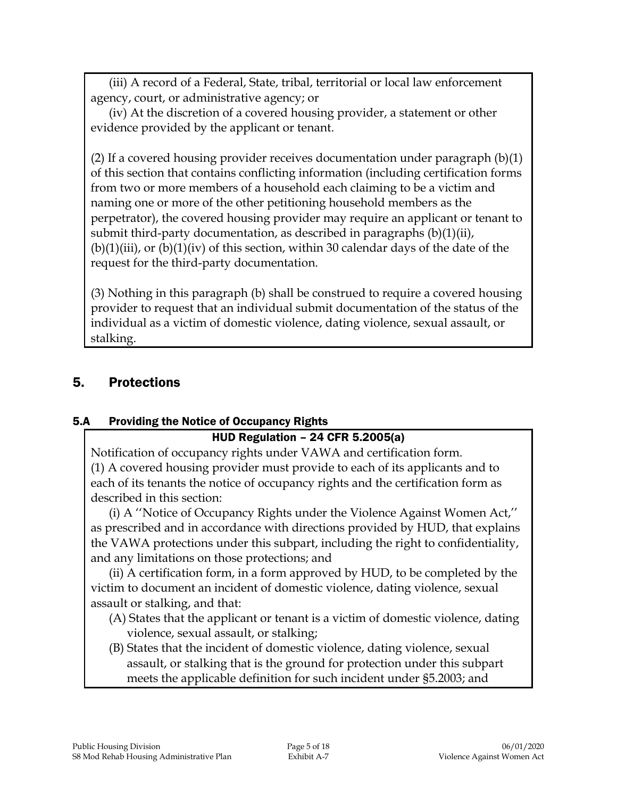(iii) A record of a Federal, State, tribal, territorial or local law enforcement agency, court, or administrative agency; or

(iv) At the discretion of a covered housing provider, a statement or other evidence provided by the applicant or tenant.

(2) If a covered housing provider receives documentation under paragraph (b)(1) of this section that contains conflicting information (including certification forms from two or more members of a household each claiming to be a victim and naming one or more of the other petitioning household members as the perpetrator), the covered housing provider may require an applicant or tenant to submit third-party documentation, as described in paragraphs (b)(1)(ii),  $(b)(1)(iii)$ , or  $(b)(1)(iv)$  of this section, within 30 calendar days of the date of the request for the third-party documentation.

(3) Nothing in this paragraph (b) shall be construed to require a covered housing provider to request that an individual submit documentation of the status of the individual as a victim of domestic violence, dating violence, sexual assault, or stalking.

# 5. Protections

## 5.A Providing the Notice of Occupancy Rights

## HUD Regulation – 24 CFR 5.2005(a)

Notification of occupancy rights under VAWA and certification form. (1) A covered housing provider must provide to each of its applicants and to each of its tenants the notice of occupancy rights and the certification form as described in this section:

(i) A ''Notice of Occupancy Rights under the Violence Against Women Act,'' as prescribed and in accordance with directions provided by HUD, that explains the VAWA protections under this subpart, including the right to confidentiality, and any limitations on those protections; and

(ii) A certification form, in a form approved by HUD, to be completed by the victim to document an incident of domestic violence, dating violence, sexual assault or stalking, and that:

- (A) States that the applicant or tenant is a victim of domestic violence, dating violence, sexual assault, or stalking;
- (B) States that the incident of domestic violence, dating violence, sexual assault, or stalking that is the ground for protection under this subpart meets the applicable definition for such incident under §5.2003; and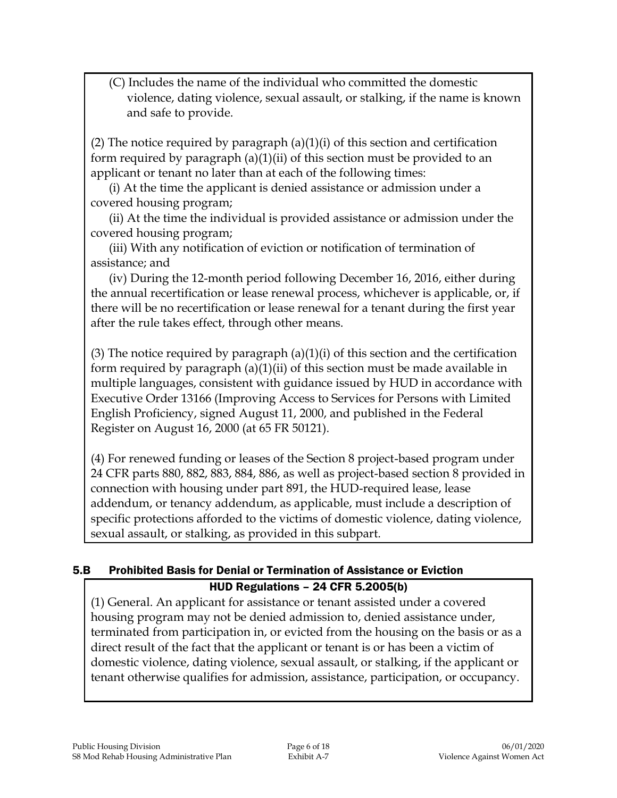(C) Includes the name of the individual who committed the domestic violence, dating violence, sexual assault, or stalking, if the name is known and safe to provide.

(2) The notice required by paragraph  $(a)(1)(i)$  of this section and certification form required by paragraph (a)(1)(ii) of this section must be provided to an applicant or tenant no later than at each of the following times:

(i) At the time the applicant is denied assistance or admission under a covered housing program;

(ii) At the time the individual is provided assistance or admission under the covered housing program;

(iii) With any notification of eviction or notification of termination of assistance; and

(iv) During the 12-month period following December 16, 2016, either during the annual recertification or lease renewal process, whichever is applicable, or, if there will be no recertification or lease renewal for a tenant during the first year after the rule takes effect, through other means.

(3) The notice required by paragraph  $(a)(1)(i)$  of this section and the certification form required by paragraph (a)(1)(ii) of this section must be made available in multiple languages, consistent with guidance issued by HUD in accordance with Executive Order 13166 (Improving Access to Services for Persons with Limited English Proficiency, signed August 11, 2000, and published in the Federal Register on August 16, 2000 (at 65 FR 50121).

(4) For renewed funding or leases of the Section 8 project-based program under 24 CFR parts 880, 882, 883, 884, 886, as well as project-based section 8 provided in connection with housing under part 891, the HUD-required lease, lease addendum, or tenancy addendum, as applicable, must include a description of specific protections afforded to the victims of domestic violence, dating violence, sexual assault, or stalking, as provided in this subpart.

## 5.B Prohibited Basis for Denial or Termination of Assistance or Eviction HUD Regulations – 24 CFR 5.2005(b)

(1) General. An applicant for assistance or tenant assisted under a covered housing program may not be denied admission to, denied assistance under, terminated from participation in, or evicted from the housing on the basis or as a direct result of the fact that the applicant or tenant is or has been a victim of domestic violence, dating violence, sexual assault, or stalking, if the applicant or tenant otherwise qualifies for admission, assistance, participation, or occupancy.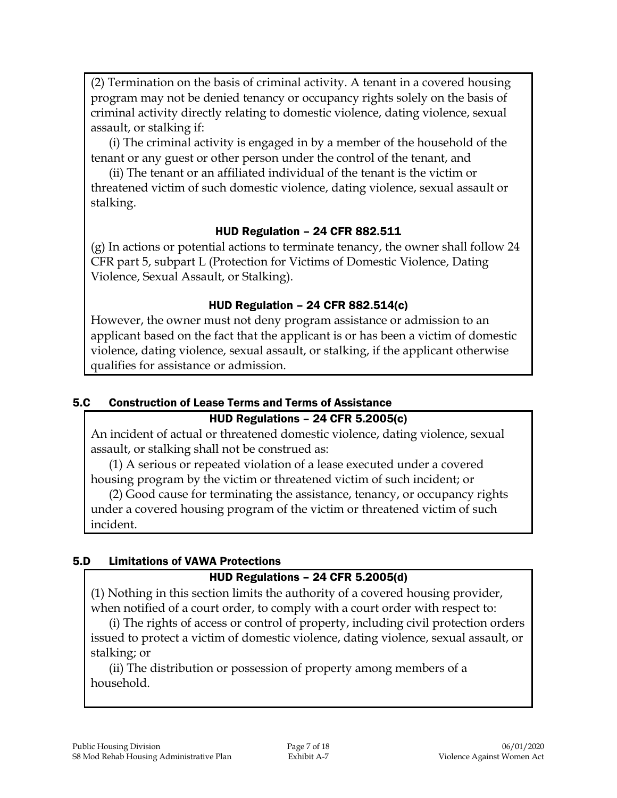(2) Termination on the basis of criminal activity. A tenant in a covered housing program may not be denied tenancy or occupancy rights solely on the basis of criminal activity directly relating to domestic violence, dating violence, sexual assault, or stalking if:

(i) The criminal activity is engaged in by a member of the household of the tenant or any guest or other person under the control of the tenant, and

(ii) The tenant or an affiliated individual of the tenant is the victim or threatened victim of such domestic violence, dating violence, sexual assault or stalking.

#### HUD Regulation – 24 CFR 882.511

(g) In actions or potential actions to terminate tenancy, the owner shall follow 24 CFR part 5, subpart L (Protection for Victims of Domestic Violence, Dating Violence, Sexual Assault, or Stalking).

#### HUD Regulation – 24 CFR 882.514(c)

However, the owner must not deny program assistance or admission to an applicant based on the fact that the applicant is or has been a victim of domestic violence, dating violence, sexual assault, or stalking, if the applicant otherwise qualifies for assistance or admission.

## 5.C Construction of Lease Terms and Terms of Assistance

#### HUD Regulations – 24 CFR 5.2005(c)

An incident of actual or threatened domestic violence, dating violence, sexual assault, or stalking shall not be construed as:

(1) A serious or repeated violation of a lease executed under a covered housing program by the victim or threatened victim of such incident; or

(2) Good cause for terminating the assistance, tenancy, or occupancy rights under a covered housing program of the victim or threatened victim of such incident.

#### 5.D Limitations of VAWA Protections

#### HUD Regulations – 24 CFR 5.2005(d)

(1) Nothing in this section limits the authority of a covered housing provider, when notified of a court order, to comply with a court order with respect to:

(i) The rights of access or control of property, including civil protection orders issued to protect a victim of domestic violence, dating violence, sexual assault, or stalking; or

(ii) The distribution or possession of property among members of a household.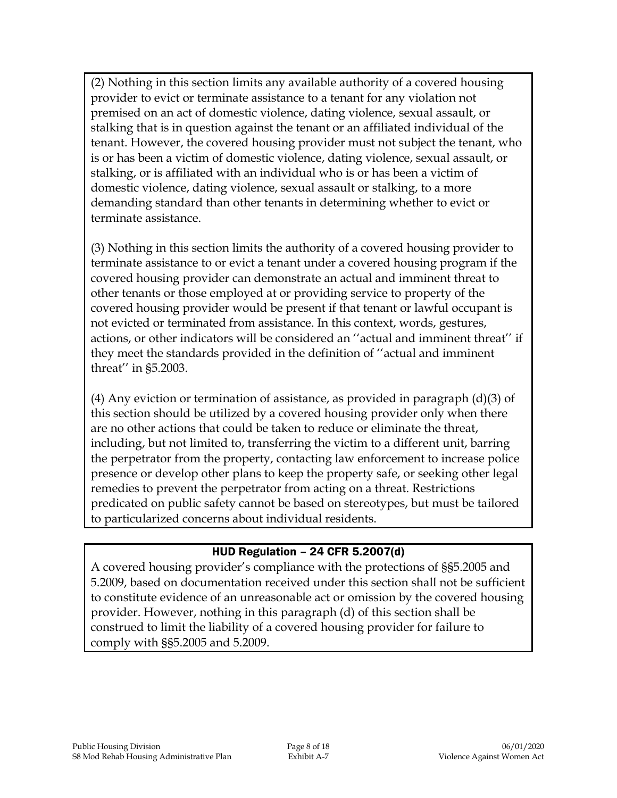(2) Nothing in this section limits any available authority of a covered housing provider to evict or terminate assistance to a tenant for any violation not premised on an act of domestic violence, dating violence, sexual assault, or stalking that is in question against the tenant or an affiliated individual of the tenant. However, the covered housing provider must not subject the tenant, who is or has been a victim of domestic violence, dating violence, sexual assault, or stalking, or is affiliated with an individual who is or has been a victim of domestic violence, dating violence, sexual assault or stalking, to a more demanding standard than other tenants in determining whether to evict or terminate assistance.

(3) Nothing in this section limits the authority of a covered housing provider to terminate assistance to or evict a tenant under a covered housing program if the covered housing provider can demonstrate an actual and imminent threat to other tenants or those employed at or providing service to property of the covered housing provider would be present if that tenant or lawful occupant is not evicted or terminated from assistance. In this context, words, gestures, actions, or other indicators will be considered an ''actual and imminent threat'' if they meet the standards provided in the definition of ''actual and imminent threat'' in §5.2003.

(4) Any eviction or termination of assistance, as provided in paragraph  $(d)(3)$  of this section should be utilized by a covered housing provider only when there are no other actions that could be taken to reduce or eliminate the threat, including, but not limited to, transferring the victim to a different unit, barring the perpetrator from the property, contacting law enforcement to increase police presence or develop other plans to keep the property safe, or seeking other legal remedies to prevent the perpetrator from acting on a threat. Restrictions predicated on public safety cannot be based on stereotypes, but must be tailored to particularized concerns about individual residents.

#### HUD Regulation – 24 CFR 5.2007(d)

A covered housing provider's compliance with the protections of §§5.2005 and 5.2009, based on documentation received under this section shall not be sufficient to constitute evidence of an unreasonable act or omission by the covered housing provider. However, nothing in this paragraph (d) of this section shall be construed to limit the liability of a covered housing provider for failure to comply with §§5.2005 and 5.2009.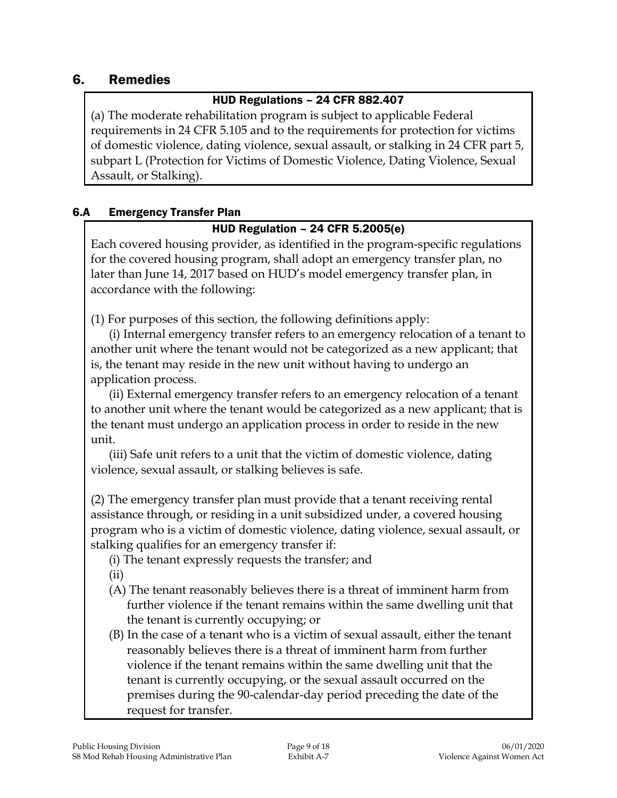# 6. Remedies

## HUD Regulations – 24 CFR 882.407

(a) The moderate rehabilitation program is subject to applicable Federal requirements in 24 CFR 5.105 and to the requirements for protection for victims of domestic violence, dating violence, sexual assault, or stalking in 24 CFR part 5, subpart L (Protection for Victims of Domestic Violence, Dating Violence, Sexual Assault, or Stalking).

#### 6.A Emergency Transfer Plan

#### HUD Regulation – 24 CFR 5.2005(e)

Each covered housing provider, as identified in the program-specific regulations for the covered housing program, shall adopt an emergency transfer plan, no later than June 14, 2017 based on HUD's model emergency transfer plan, in accordance with the following:

(1) For purposes of this section, the following definitions apply:

(i) Internal emergency transfer refers to an emergency relocation of a tenant to another unit where the tenant would not be categorized as a new applicant; that is, the tenant may reside in the new unit without having to undergo an application process.

(ii) External emergency transfer refers to an emergency relocation of a tenant to another unit where the tenant would be categorized as a new applicant; that is the tenant must undergo an application process in order to reside in the new unit.

(iii) Safe unit refers to a unit that the victim of domestic violence, dating violence, sexual assault, or stalking believes is safe.

(2) The emergency transfer plan must provide that a tenant receiving rental assistance through, or residing in a unit subsidized under, a covered housing program who is a victim of domestic violence, dating violence, sexual assault, or stalking qualifies for an emergency transfer if:

(i) The tenant expressly requests the transfer; and

(ii)

- (A) The tenant reasonably believes there is a threat of imminent harm from further violence if the tenant remains within the same dwelling unit that the tenant is currently occupying; or
- (B) In the case of a tenant who is a victim of sexual assault, either the tenant reasonably believes there is a threat of imminent harm from further violence if the tenant remains within the same dwelling unit that the tenant is currently occupying, or the sexual assault occurred on the premises during the 90-calendar-day period preceding the date of the request for transfer.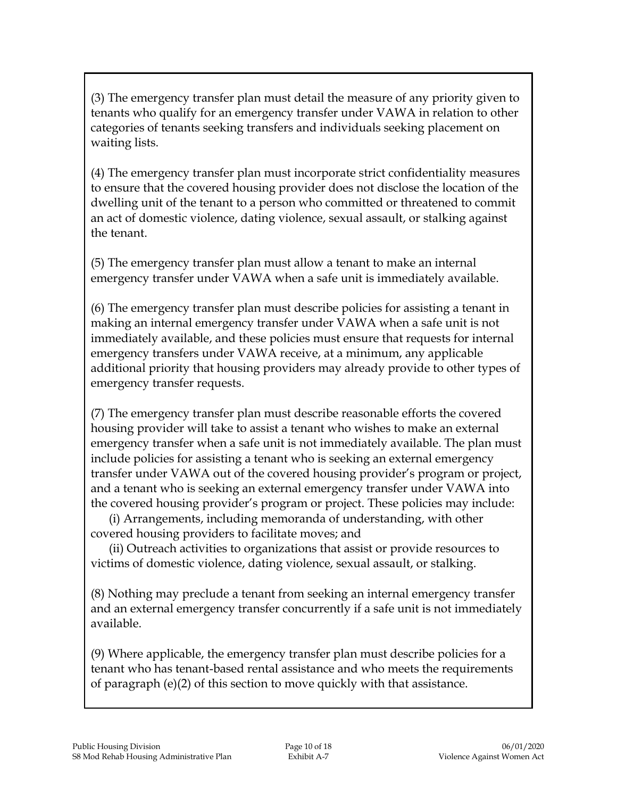(3) The emergency transfer plan must detail the measure of any priority given to tenants who qualify for an emergency transfer under VAWA in relation to other categories of tenants seeking transfers and individuals seeking placement on waiting lists.

(4) The emergency transfer plan must incorporate strict confidentiality measures to ensure that the covered housing provider does not disclose the location of the dwelling unit of the tenant to a person who committed or threatened to commit an act of domestic violence, dating violence, sexual assault, or stalking against the tenant.

(5) The emergency transfer plan must allow a tenant to make an internal emergency transfer under VAWA when a safe unit is immediately available.

(6) The emergency transfer plan must describe policies for assisting a tenant in making an internal emergency transfer under VAWA when a safe unit is not immediately available, and these policies must ensure that requests for internal emergency transfers under VAWA receive, at a minimum, any applicable additional priority that housing providers may already provide to other types of emergency transfer requests.

(7) The emergency transfer plan must describe reasonable efforts the covered housing provider will take to assist a tenant who wishes to make an external emergency transfer when a safe unit is not immediately available. The plan must include policies for assisting a tenant who is seeking an external emergency transfer under VAWA out of the covered housing provider's program or project, and a tenant who is seeking an external emergency transfer under VAWA into the covered housing provider's program or project. These policies may include:

(i) Arrangements, including memoranda of understanding, with other covered housing providers to facilitate moves; and

(ii) Outreach activities to organizations that assist or provide resources to victims of domestic violence, dating violence, sexual assault, or stalking.

(8) Nothing may preclude a tenant from seeking an internal emergency transfer and an external emergency transfer concurrently if a safe unit is not immediately available.

(9) Where applicable, the emergency transfer plan must describe policies for a tenant who has tenant-based rental assistance and who meets the requirements of paragraph (e)(2) of this section to move quickly with that assistance.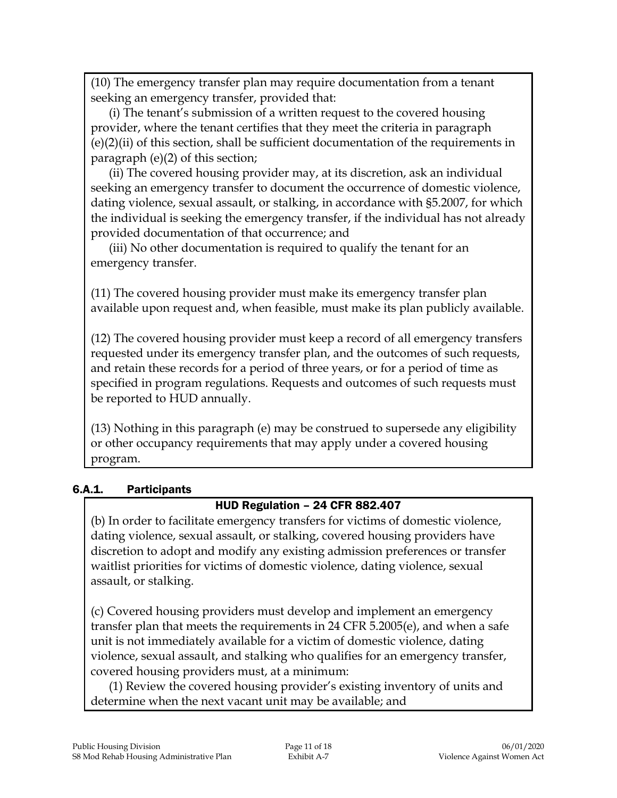(10) The emergency transfer plan may require documentation from a tenant seeking an emergency transfer, provided that:

(i) The tenant's submission of a written request to the covered housing provider, where the tenant certifies that they meet the criteria in paragraph (e)(2)(ii) of this section, shall be sufficient documentation of the requirements in paragraph (e)(2) of this section;

(ii) The covered housing provider may, at its discretion, ask an individual seeking an emergency transfer to document the occurrence of domestic violence, dating violence, sexual assault, or stalking, in accordance with §5.2007, for which the individual is seeking the emergency transfer, if the individual has not already provided documentation of that occurrence; and

(iii) No other documentation is required to qualify the tenant for an emergency transfer.

(11) The covered housing provider must make its emergency transfer plan available upon request and, when feasible, must make its plan publicly available.

(12) The covered housing provider must keep a record of all emergency transfers requested under its emergency transfer plan, and the outcomes of such requests, and retain these records for a period of three years, or for a period of time as specified in program regulations. Requests and outcomes of such requests must be reported to HUD annually.

(13) Nothing in this paragraph (e) may be construed to supersede any eligibility or other occupancy requirements that may apply under a covered housing program.

#### 6.A.1. Participants

## HUD Regulation – 24 CFR 882.407

(b) In order to facilitate emergency transfers for victims of domestic violence, dating violence, sexual assault, or stalking, covered housing providers have discretion to adopt and modify any existing admission preferences or transfer waitlist priorities for victims of domestic violence, dating violence, sexual assault, or stalking.

(c) Covered housing providers must develop and implement an emergency transfer plan that meets the requirements in 24 CFR 5.2005(e), and when a safe unit is not immediately available for a victim of domestic violence, dating violence, sexual assault, and stalking who qualifies for an emergency transfer, covered housing providers must, at a minimum:

(1) Review the covered housing provider's existing inventory of units and determine when the next vacant unit may be available; and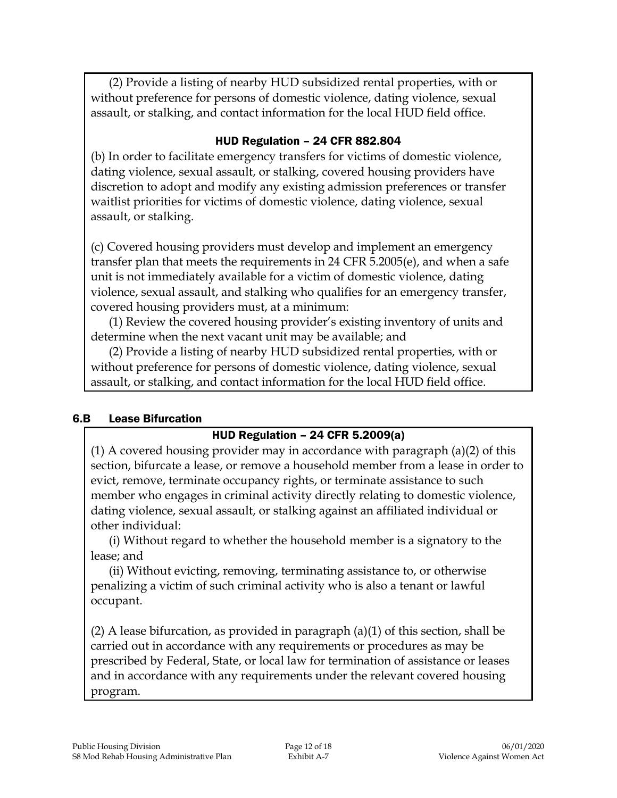(2) Provide a listing of nearby HUD subsidized rental properties, with or without preference for persons of domestic violence, dating violence, sexual assault, or stalking, and contact information for the local HUD field office.

#### HUD Regulation – 24 CFR 882.804

(b) In order to facilitate emergency transfers for victims of domestic violence, dating violence, sexual assault, or stalking, covered housing providers have discretion to adopt and modify any existing admission preferences or transfer waitlist priorities for victims of domestic violence, dating violence, sexual assault, or stalking.

(c) Covered housing providers must develop and implement an emergency transfer plan that meets the requirements in 24 CFR 5.2005(e), and when a safe unit is not immediately available for a victim of domestic violence, dating violence, sexual assault, and stalking who qualifies for an emergency transfer, covered housing providers must, at a minimum:

(1) Review the covered housing provider's existing inventory of units and determine when the next vacant unit may be available; and

(2) Provide a listing of nearby HUD subsidized rental properties, with or without preference for persons of domestic violence, dating violence, sexual assault, or stalking, and contact information for the local HUD field office.

#### 6.B Lease Bifurcation

#### HUD Regulation – 24 CFR 5.2009(a)

(1) A covered housing provider may in accordance with paragraph (a)(2) of this section, bifurcate a lease, or remove a household member from a lease in order to evict, remove, terminate occupancy rights, or terminate assistance to such member who engages in criminal activity directly relating to domestic violence, dating violence, sexual assault, or stalking against an affiliated individual or other individual:

(i) Without regard to whether the household member is a signatory to the lease; and

(ii) Without evicting, removing, terminating assistance to, or otherwise penalizing a victim of such criminal activity who is also a tenant or lawful occupant.

(2) A lease bifurcation, as provided in paragraph (a)(1) of this section, shall be carried out in accordance with any requirements or procedures as may be prescribed by Federal, State, or local law for termination of assistance or leases and in accordance with any requirements under the relevant covered housing program.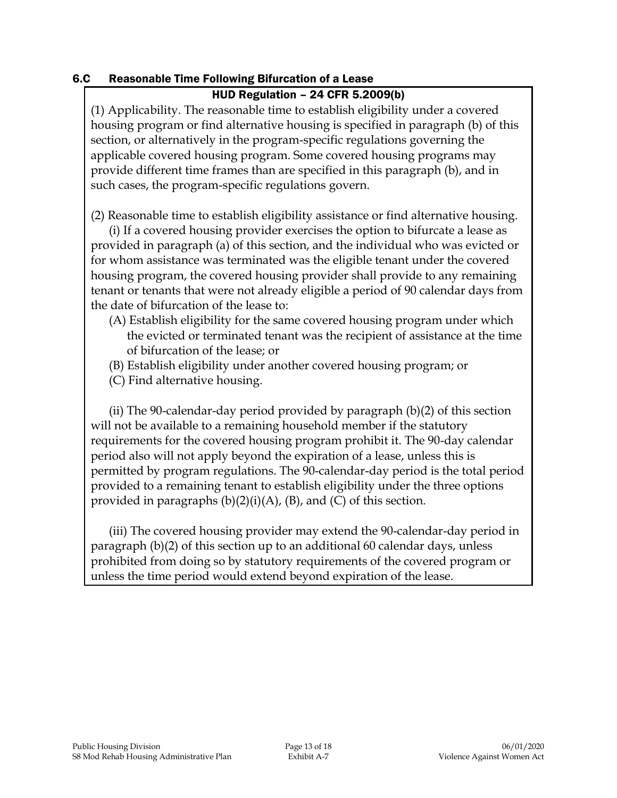#### 6.C Reasonable Time Following Bifurcation of a Lease

#### HUD Regulation – 24 CFR 5.2009(b)

(1) Applicability. The reasonable time to establish eligibility under a covered housing program or find alternative housing is specified in paragraph (b) of this section, or alternatively in the program-specific regulations governing the applicable covered housing program. Some covered housing programs may provide different time frames than are specified in this paragraph (b), and in such cases, the program-specific regulations govern.

(2) Reasonable time to establish eligibility assistance or find alternative housing.

(i) If a covered housing provider exercises the option to bifurcate a lease as provided in paragraph (a) of this section, and the individual who was evicted or for whom assistance was terminated was the eligible tenant under the covered housing program, the covered housing provider shall provide to any remaining tenant or tenants that were not already eligible a period of 90 calendar days from the date of bifurcation of the lease to:

- (A) Establish eligibility for the same covered housing program under which the evicted or terminated tenant was the recipient of assistance at the time of bifurcation of the lease; or
- (B) Establish eligibility under another covered housing program; or
- (C) Find alternative housing.

(ii) The 90-calendar-day period provided by paragraph (b)(2) of this section will not be available to a remaining household member if the statutory requirements for the covered housing program prohibit it. The 90-day calendar period also will not apply beyond the expiration of a lease, unless this is permitted by program regulations. The 90-calendar-day period is the total period provided to a remaining tenant to establish eligibility under the three options provided in paragraphs  $(b)(2)(i)(A)$ ,  $(B)$ , and  $(C)$  of this section.

(iii) The covered housing provider may extend the 90-calendar-day period in paragraph (b)(2) of this section up to an additional 60 calendar days, unless prohibited from doing so by statutory requirements of the covered program or unless the time period would extend beyond expiration of the lease.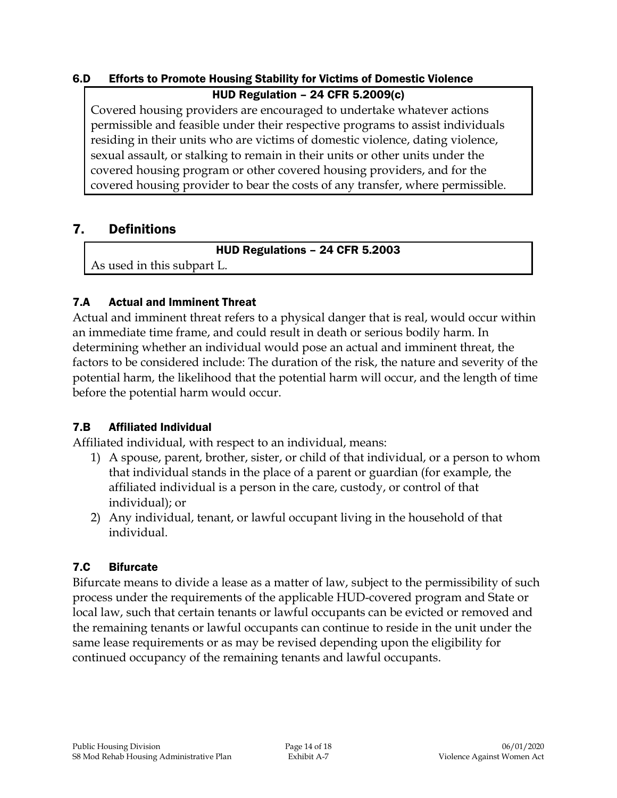# 6.D Efforts to Promote Housing Stability for Victims of Domestic Violence

#### HUD Regulation – 24 CFR 5.2009(c)

Covered housing providers are encouraged to undertake whatever actions permissible and feasible under their respective programs to assist individuals residing in their units who are victims of domestic violence, dating violence, sexual assault, or stalking to remain in their units or other units under the covered housing program or other covered housing providers, and for the covered housing provider to bear the costs of any transfer, where permissible.

# 7. Definitions

HUD Regulations – 24 CFR 5.2003

As used in this subpart L.

## 7.A Actual and Imminent Threat

Actual and imminent threat refers to a physical danger that is real, would occur within an immediate time frame, and could result in death or serious bodily harm. In determining whether an individual would pose an actual and imminent threat, the factors to be considered include: The duration of the risk, the nature and severity of the potential harm, the likelihood that the potential harm will occur, and the length of time before the potential harm would occur.

## 7.B Affiliated Individual

Affiliated individual, with respect to an individual, means:

- 1) A spouse, parent, brother, sister, or child of that individual, or a person to whom that individual stands in the place of a parent or guardian (for example, the affiliated individual is a person in the care, custody, or control of that individual); or
- 2) Any individual, tenant, or lawful occupant living in the household of that individual.

# 7.C Bifurcate

Bifurcate means to divide a lease as a matter of law, subject to the permissibility of such process under the requirements of the applicable HUD-covered program and State or local law, such that certain tenants or lawful occupants can be evicted or removed and the remaining tenants or lawful occupants can continue to reside in the unit under the same lease requirements or as may be revised depending upon the eligibility for continued occupancy of the remaining tenants and lawful occupants.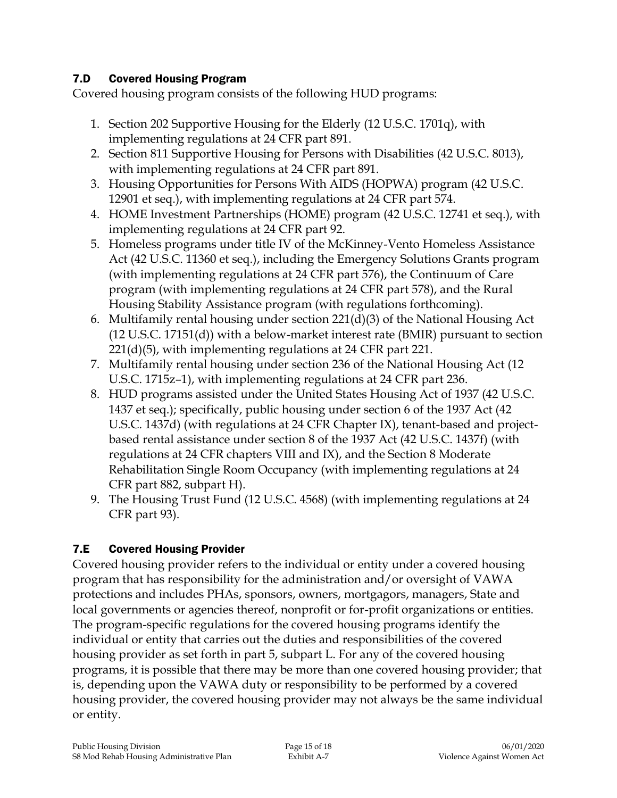## 7.D Covered Housing Program

Covered housing program consists of the following HUD programs:

- 1. Section 202 Supportive Housing for the Elderly (12 U.S.C. 1701q), with implementing regulations at 24 CFR part 891.
- 2. Section 811 Supportive Housing for Persons with Disabilities (42 U.S.C. 8013), with implementing regulations at 24 CFR part 891.
- 3. Housing Opportunities for Persons With AIDS (HOPWA) program (42 U.S.C. 12901 et seq.), with implementing regulations at 24 CFR part 574.
- 4. HOME Investment Partnerships (HOME) program (42 U.S.C. 12741 et seq.), with implementing regulations at 24 CFR part 92.
- 5. Homeless programs under title IV of the McKinney-Vento Homeless Assistance Act (42 U.S.C. 11360 et seq.), including the Emergency Solutions Grants program (with implementing regulations at 24 CFR part 576), the Continuum of Care program (with implementing regulations at 24 CFR part 578), and the Rural Housing Stability Assistance program (with regulations forthcoming).
- 6. Multifamily rental housing under section 221(d)(3) of the National Housing Act (12 U.S.C. 17151(d)) with a below-market interest rate (BMIR) pursuant to section 221(d)(5), with implementing regulations at 24 CFR part 221.
- 7. Multifamily rental housing under section 236 of the National Housing Act (12 U.S.C. 1715z–1), with implementing regulations at 24 CFR part 236.
- 8. HUD programs assisted under the United States Housing Act of 1937 (42 U.S.C. 1437 et seq.); specifically, public housing under section 6 of the 1937 Act (42 U.S.C. 1437d) (with regulations at 24 CFR Chapter IX), tenant-based and projectbased rental assistance under section 8 of the 1937 Act (42 U.S.C. 1437f) (with regulations at 24 CFR chapters VIII and IX), and the Section 8 Moderate Rehabilitation Single Room Occupancy (with implementing regulations at 24 CFR part 882, subpart H).
- 9. The Housing Trust Fund (12 U.S.C. 4568) (with implementing regulations at 24 CFR part 93).

## 7.E Covered Housing Provider

Covered housing provider refers to the individual or entity under a covered housing program that has responsibility for the administration and/or oversight of VAWA protections and includes PHAs, sponsors, owners, mortgagors, managers, State and local governments or agencies thereof, nonprofit or for-profit organizations or entities. The program-specific regulations for the covered housing programs identify the individual or entity that carries out the duties and responsibilities of the covered housing provider as set forth in part 5, subpart L. For any of the covered housing programs, it is possible that there may be more than one covered housing provider; that is, depending upon the VAWA duty or responsibility to be performed by a covered housing provider, the covered housing provider may not always be the same individual or entity.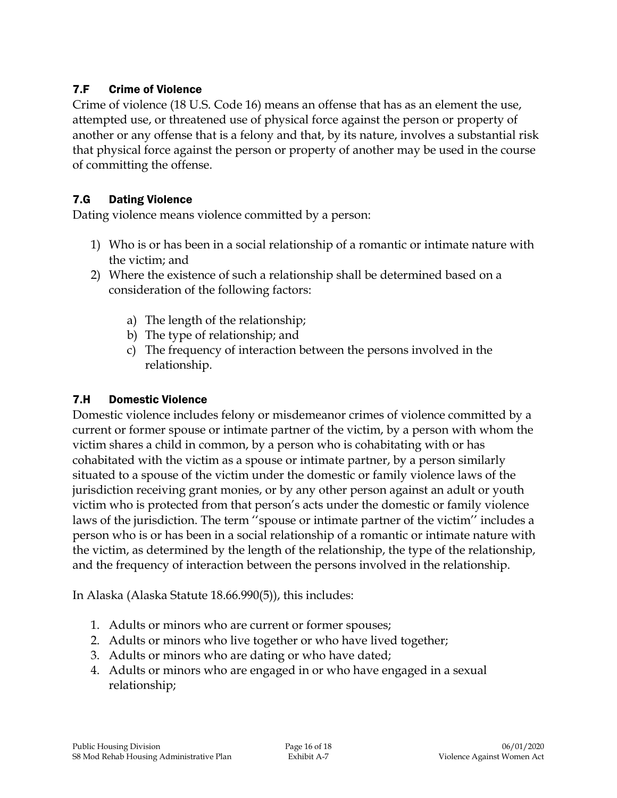## 7.F Crime of Violence

Crime of violence (18 U.S. Code 16) means an offense that has as an element the use, attempted use, or threatened use of physical force against the person or property of another or any offense that is a felony and that, by its nature, involves a substantial risk that physical force against the person or property of another may be used in the course of committing the offense.

#### 7.G Dating Violence

Dating violence means violence committed by a person:

- 1) Who is or has been in a social relationship of a romantic or intimate nature with the victim; and
- 2) Where the existence of such a relationship shall be determined based on a consideration of the following factors:
	- a) The length of the relationship;
	- b) The type of relationship; and
	- c) The frequency of interaction between the persons involved in the relationship.

#### 7.H Domestic Violence

Domestic violence includes felony or misdemeanor crimes of violence committed by a current or former spouse or intimate partner of the victim, by a person with whom the victim shares a child in common, by a person who is cohabitating with or has cohabitated with the victim as a spouse or intimate partner, by a person similarly situated to a spouse of the victim under the domestic or family violence laws of the jurisdiction receiving grant monies, or by any other person against an adult or youth victim who is protected from that person's acts under the domestic or family violence laws of the jurisdiction. The term ''spouse or intimate partner of the victim'' includes a person who is or has been in a social relationship of a romantic or intimate nature with the victim, as determined by the length of the relationship, the type of the relationship, and the frequency of interaction between the persons involved in the relationship.

In Alaska (Alaska Statute 18.66.990(5)), this includes:

- 1. Adults or minors who are current or former spouses;
- 2. Adults or minors who live together or who have lived together;
- 3. Adults or minors who are dating or who have dated;
- 4. Adults or minors who are engaged in or who have engaged in a sexual relationship;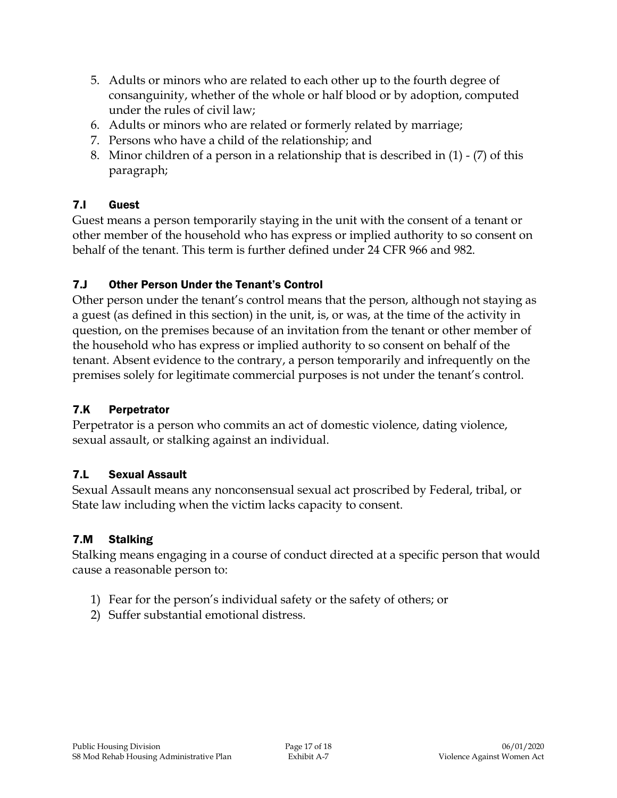- 5. Adults or minors who are related to each other up to the fourth degree of consanguinity, whether of the whole or half blood or by adoption, computed under the rules of civil law;
- 6. Adults or minors who are related or formerly related by marriage;
- 7. Persons who have a child of the relationship; and
- 8. Minor children of a person in a relationship that is described in (1) (7) of this paragraph;

## 7.I Guest

Guest means a person temporarily staying in the unit with the consent of a tenant or other member of the household who has express or implied authority to so consent on behalf of the tenant. This term is further defined under 24 CFR 966 and 982.

## 7.J Other Person Under the Tenant's Control

Other person under the tenant's control means that the person, although not staying as a guest (as defined in this section) in the unit, is, or was, at the time of the activity in question, on the premises because of an invitation from the tenant or other member of the household who has express or implied authority to so consent on behalf of the tenant. Absent evidence to the contrary, a person temporarily and infrequently on the premises solely for legitimate commercial purposes is not under the tenant's control.

## 7.K Perpetrator

Perpetrator is a person who commits an act of domestic violence, dating violence, sexual assault, or stalking against an individual.

## 7.L Sexual Assault

Sexual Assault means any nonconsensual sexual act proscribed by Federal, tribal, or State law including when the victim lacks capacity to consent.

## 7.M Stalking

Stalking means engaging in a course of conduct directed at a specific person that would cause a reasonable person to:

- 1) Fear for the person's individual safety or the safety of others; or
- 2) Suffer substantial emotional distress.